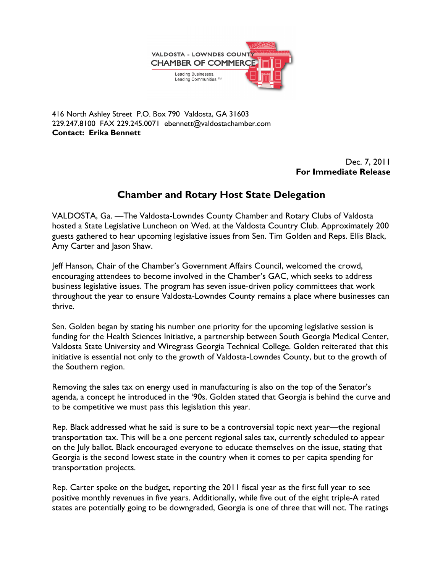

416 North Ashley Street P.O. Box 790 Valdosta, GA 31603 229.247.8100 FAX 229.245.0071 ebennett@valdostachamber.com Contact: Erika Bennett

> Dec. 7, 2011 For Immediate Release

## Chamber and Rotary Host State Delegation

VALDOSTA, Ga. —The Valdosta-Lowndes County Chamber and Rotary Clubs of Valdosta hosted a State Legislative Luncheon on Wed. at the Valdosta Country Club. Approximately 200 guests gathered to hear upcoming legislative issues from Sen. Tim Golden and Reps. Ellis Black, Amy Carter and Jason Shaw.

Jeff Hanson, Chair of the Chamber's Government Affairs Council, welcomed the crowd, encouraging attendees to become involved in the Chamber's GAC, which seeks to address business legislative issues. The program has seven issue-driven policy committees that work throughout the year to ensure Valdosta-Lowndes County remains a place where businesses can thrive.

Sen. Golden began by stating his number one priority for the upcoming legislative session is funding for the Health Sciences Initiative, a partnership between South Georgia Medical Center, Valdosta State University and Wiregrass Georgia Technical College. Golden reiterated that this initiative is essential not only to the growth of Valdosta-Lowndes County, but to the growth of the Southern region.

Removing the sales tax on energy used in manufacturing is also on the top of the Senator's agenda, a concept he introduced in the '90s. Golden stated that Georgia is behind the curve and to be competitive we must pass this legislation this year.

Rep. Black addressed what he said is sure to be a controversial topic next year—the regional transportation tax. This will be a one percent regional sales tax, currently scheduled to appear on the July ballot. Black encouraged everyone to educate themselves on the issue, stating that Georgia is the second lowest state in the country when it comes to per capita spending for transportation projects.

Rep. Carter spoke on the budget, reporting the 2011 fiscal year as the first full year to see positive monthly revenues in five years. Additionally, while five out of the eight triple-A rated states are potentially going to be downgraded, Georgia is one of three that will not. The ratings